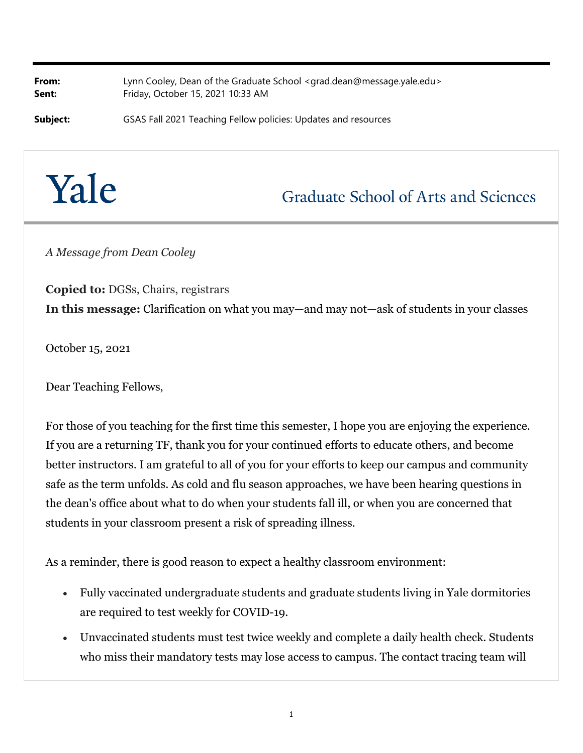**From:** Lynn Cooley, Dean of the Graduate School <grad.dean@message.yale.edu> **Sent:** Friday, October 15, 2021 10:33 AM

**Subject:** GSAS Fall 2021 Teaching Fellow policies: Updates and resources

## Yale

## **Graduate School of Arts and Sciences**

*A Message from Dean Cooley*

**Copied to:** DGSs, Chairs, registrars **In this message:** Clarification on what you may—and may not—ask of students in your classes

October 15, 2021

Dear Teaching Fellows,

For those of you teaching for the first time this semester, I hope you are enjoying the experience. If you are a returning TF, thank you for your continued efforts to educate others, and become better instructors. I am grateful to all of you for your efforts to keep our campus and community safe as the term unfolds. As cold and flu season approaches, we have been hearing questions in the dean's office about what to do when your students fall ill, or when you are concerned that students in your classroom present a risk of spreading illness.

As a reminder, there is good reason to expect a healthy classroom environment:

- Fully vaccinated undergraduate students and graduate students living in Yale dormitories are required to test weekly for COVID-19.
- Unvaccinated students must test twice weekly and complete a daily health check. Students who miss their mandatory tests may lose access to campus. The contact tracing team will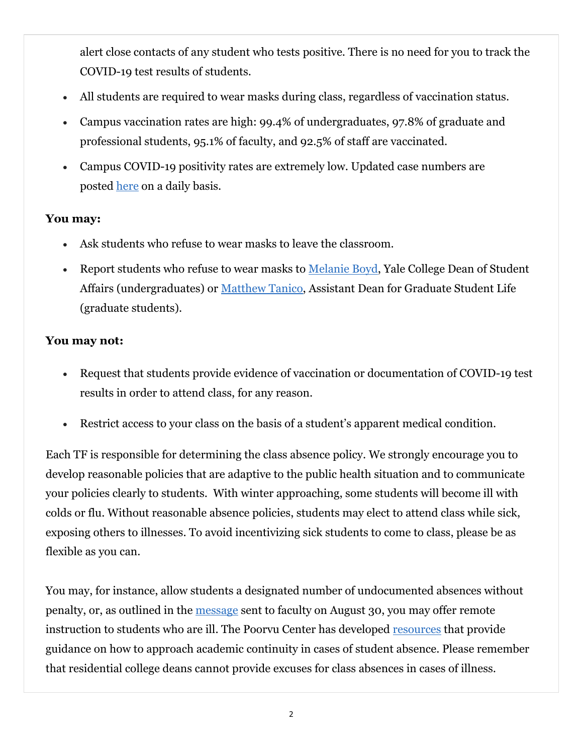alert close contacts of any student who tests positive. There is no need for you to track the COVID-19 test results of students.

- All students are required to wear masks during class, regardless of vaccination status.
- Campus vaccination rates are high: 99.4% of undergraduates, 97.8% of graduate and professional students, 95.1% of faculty, and 92.5% of staff are vaccinated.
- Campus COVID-19 positivity rates are extremely low. Updated case numbers are posted here on a daily basis.

## **You may:**

- Ask students who refuse to wear masks to leave the classroom.
- Report students who refuse to wear masks to Melanie Boyd, Yale College Dean of Student Affairs (undergraduates) or Matthew Tanico, Assistant Dean for Graduate Student Life (graduate students).

## **You may not:**

- Request that students provide evidence of vaccination or documentation of COVID-19 test results in order to attend class, for any reason.
- Restrict access to your class on the basis of a student's apparent medical condition.

Each TF is responsible for determining the class absence policy. We strongly encourage you to develop reasonable policies that are adaptive to the public health situation and to communicate your policies clearly to students. With winter approaching, some students will become ill with colds or flu. Without reasonable absence policies, students may elect to attend class while sick, exposing others to illnesses. To avoid incentivizing sick students to come to class, please be as flexible as you can.

You may, for instance, allow students a designated number of undocumented absences without penalty, or, as outlined in the message sent to faculty on August 30, you may offer remote instruction to students who are ill. The Poorvu Center has developed resources that provide guidance on how to approach academic continuity in cases of student absence. Please remember that residential college deans cannot provide excuses for class absences in cases of illness.